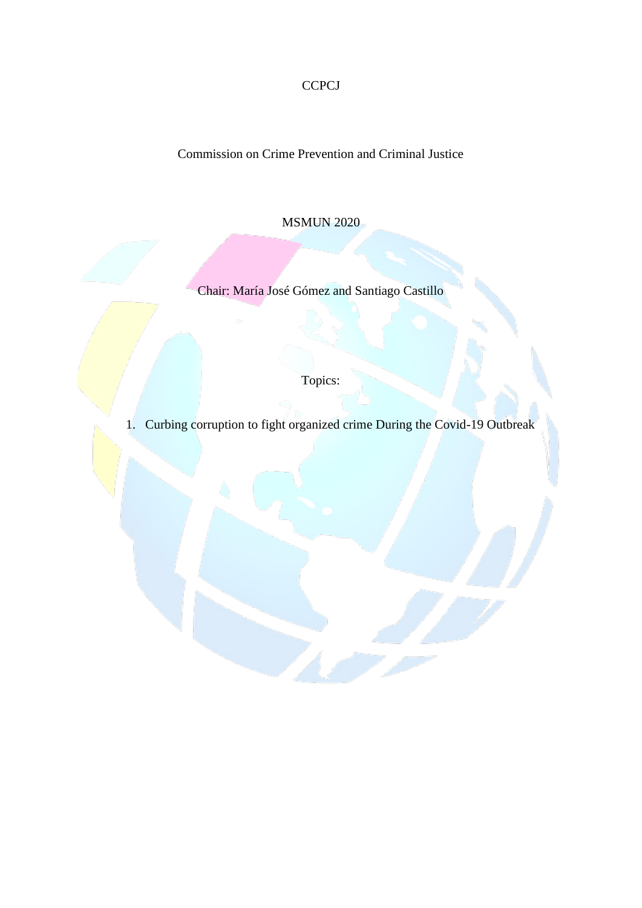**CCPCJ** 

Commission on Crime Prevention and Criminal Justice

MSMUN 2020

Chair: María José Gómez and Santiago Castillo

Topics:

1. Curbing corruption to fight organized crime During the Covid-19 Outbreak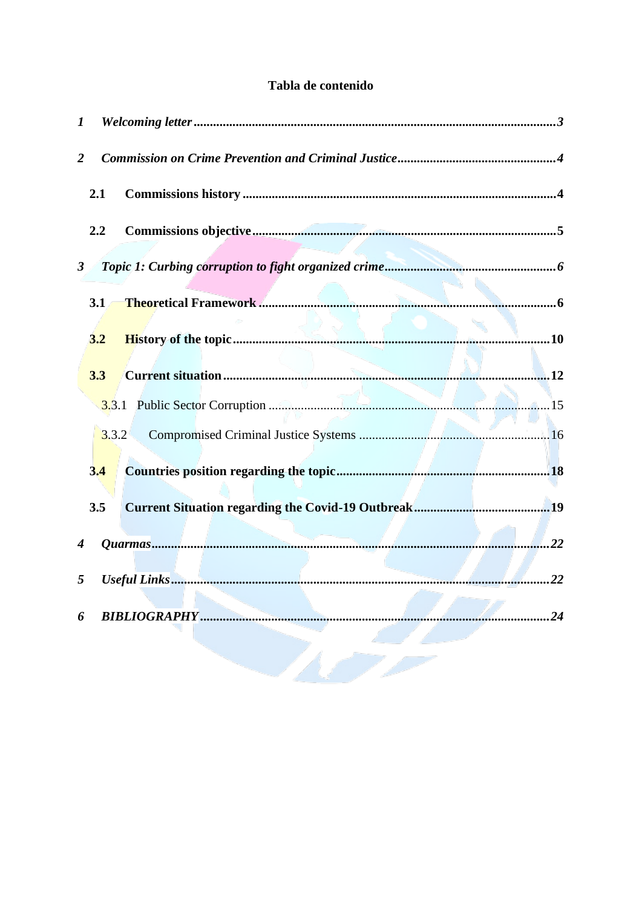# Tabla de contenido

| 1              |       |                     |    |
|----------------|-------|---------------------|----|
| $\overline{2}$ |       |                     |    |
|                | 2.1   |                     |    |
|                | 2.2   |                     |    |
| $\mathbf{3}$   |       |                     |    |
|                | 3.1   |                     |    |
|                | 3.2   |                     |    |
|                | 3.3   |                     |    |
|                |       |                     |    |
|                | 3.3.2 |                     |    |
|                | 3.4   |                     |    |
|                | 3.5   |                     |    |
| 4              |       |                     |    |
| 5              |       |                     |    |
| 6              |       | <b>BIBLIOGRAPHY</b> | 24 |
|                |       |                     |    |
|                |       |                     |    |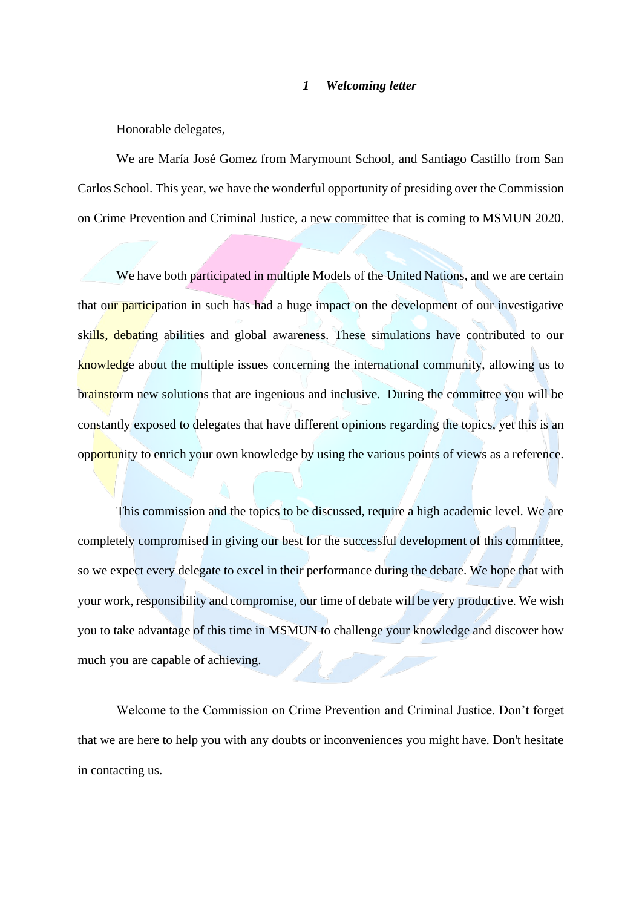#### *1 Welcoming letter*

<span id="page-2-0"></span>Honorable delegates,

We are María José Gomez from Marymount School, and Santiago Castillo from San Carlos School. This year, we have the wonderful opportunity of presiding over the Commission on Crime Prevention and Criminal Justice, a new committee that is coming to MSMUN 2020.

We have both participated in multiple Models of the United Nations, and we are certain that our participation in such has had a huge impact on the development of our investigative skills, debating abilities and global awareness. These simulations have contributed to our knowledge about the multiple issues concerning the international community, allowing us to brainstorm new solutions that are ingenious and inclusive. During the committee you will be constantly exposed to delegates that have different opinions regarding the topics, yet this is an opportunity to enrich your own knowledge by using the various points of views as a reference.

This commission and the topics to be discussed, require a high academic level. We are completely compromised in giving our best for the successful development of this committee, so we expect every delegate to excel in their performance during the debate. We hope that with your work, responsibility and compromise, our time of debate will be very productive. We wish you to take advantage of this time in MSMUN to challenge your knowledge and discover how much you are capable of achieving.

Welcome to the Commission on Crime Prevention and Criminal Justice. Don't forget that we are here to help you with any doubts or inconveniences you might have. Don't hesitate in contacting us.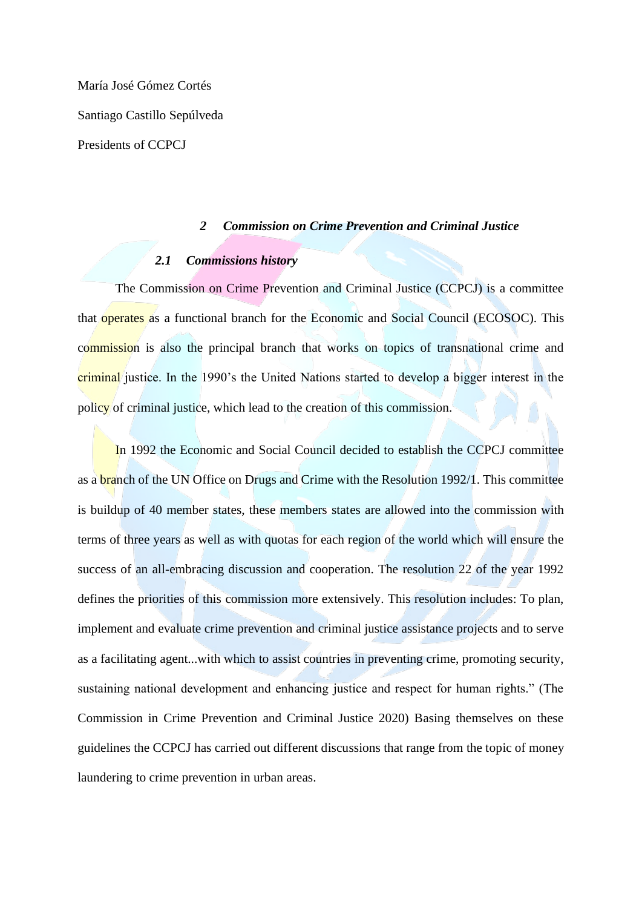María José Gómez Cortés Santiago Castillo Sepúlveda Presidents of CCPCJ

## *2 Commission on Crime Prevention and Criminal Justice*

# *2.1 Commissions history*

<span id="page-3-1"></span><span id="page-3-0"></span>The Commission on Crime Prevention and Criminal Justice (CCPCJ) is a committee that operates as a functional branch for the Economic and Social Council (ECOSOC). This commission is also the principal branch that works on topics of transnational crime and criminal justice. In the 1990's the United Nations started to develop a bigger interest in the policy of criminal justice, which lead to the creation of this commission.

In 1992 the Economic and Social Council decided to establish the CCPCJ committee as a branch of the UN Office on Drugs and Crime with the Resolution 1992/1. This committee is buildup of 40 member states, these members states are allowed into the commission with terms of three years as well as with quotas for each region of the world which will ensure the success of an all-embracing discussion and cooperation. The resolution 22 of the year 1992 defines the priorities of this commission more extensively. This resolution includes: To plan, implement and evaluate crime prevention and criminal justice assistance projects and to serve as a facilitating agent...with which to assist countries in preventing crime, promoting security, sustaining national development and enhancing justice and respect for human rights." (The Commission in Crime Prevention and Criminal Justice 2020) Basing themselves on these guidelines the CCPCJ has carried out different discussions that range from the topic of money laundering to crime prevention in urban areas.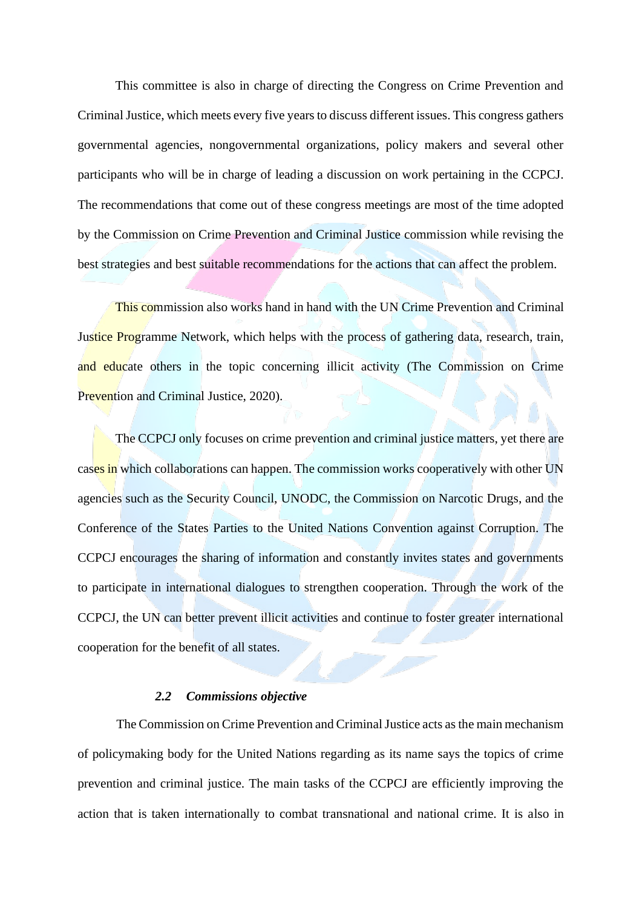This committee is also in charge of directing the Congress on Crime Prevention and Criminal Justice, which meets every five years to discuss different issues. This congress gathers governmental agencies, nongovernmental organizations, policy makers and several other participants who will be in charge of leading a discussion on work pertaining in the CCPCJ. The recommendations that come out of these congress meetings are most of the time adopted by the Commission on Crime Prevention and Criminal Justice commission while revising the best strategies and best suitable recommendations for the actions that can affect the problem.

This commission also works hand in hand with the UN Crime Prevention and Criminal Justice Programme Network, which helps with the process of gathering data, research, train, and educate others in the topic concerning illicit activity (The Commission on Crime Prevention and Criminal Justice, 2020).

The CCPCJ only focuses on crime prevention and criminal justice matters, yet there are cases in which collaborations can happen. The commission works cooperatively with other UN agencies such as the Security Council, UNODC, the Commission on Narcotic Drugs, and the Conference of the States Parties to the United Nations Convention against Corruption. The CCPCJ encourages the sharing of information and constantly invites states and governments to participate in international dialogues to strengthen cooperation. Through the work of the CCPCJ, the UN can better prevent illicit activities and continue to foster greater international cooperation for the benefit of all states.

#### *2.2 Commissions objective*

<span id="page-4-0"></span>The Commission on Crime Prevention and Criminal Justice acts as the main mechanism of policymaking body for the United Nations regarding as its name says the topics of crime prevention and criminal justice. The main tasks of the CCPCJ are efficiently improving the action that is taken internationally to combat transnational and national crime. It is also in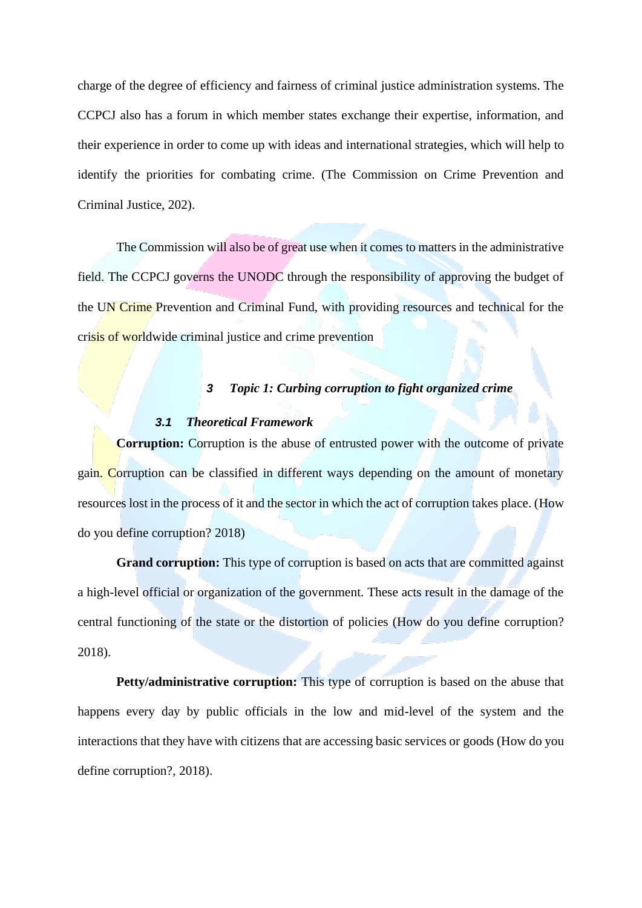charge of the degree of efficiency and fairness of criminal justice administration systems. The CCPCJ also has a forum in which member states exchange their expertise, information, and their experience in order to come up with ideas and international strategies, which will help to identify the priorities for combating crime. (The Commission on Crime Prevention and Criminal Justice, 202).

The Commission will also be of great use when it comes to matters in the administrative field. The CCPCJ governs the UNODC through the responsibility of approving the budget of the UN Crime Prevention and Criminal Fund, with providing resources and technical for the crisis of worldwide criminal justice and crime prevention

# *3 Topic 1: Curbing corruption to fight organized crime*

# *3.1 Theoretical Framework*

<span id="page-5-1"></span><span id="page-5-0"></span>**Corruption:** Corruption is the abuse of entrusted power with the outcome of private gain. Corruption can be classified in different ways depending on the amount of monetary resources lost in the process of it and the sector in which the act of corruption takes place. (How do you define corruption? 2018)

**Grand corruption:** This type of corruption is based on acts that are committed against a high-level official or organization of the government. These acts result in the damage of the central functioning of the state or the distortion of policies (How do you define corruption? 2018).

**Petty/administrative corruption:** This type of corruption is based on the abuse that happens every day by public officials in the low and mid-level of the system and the interactions that they have with citizens that are accessing basic services or goods (How do you define corruption?, 2018).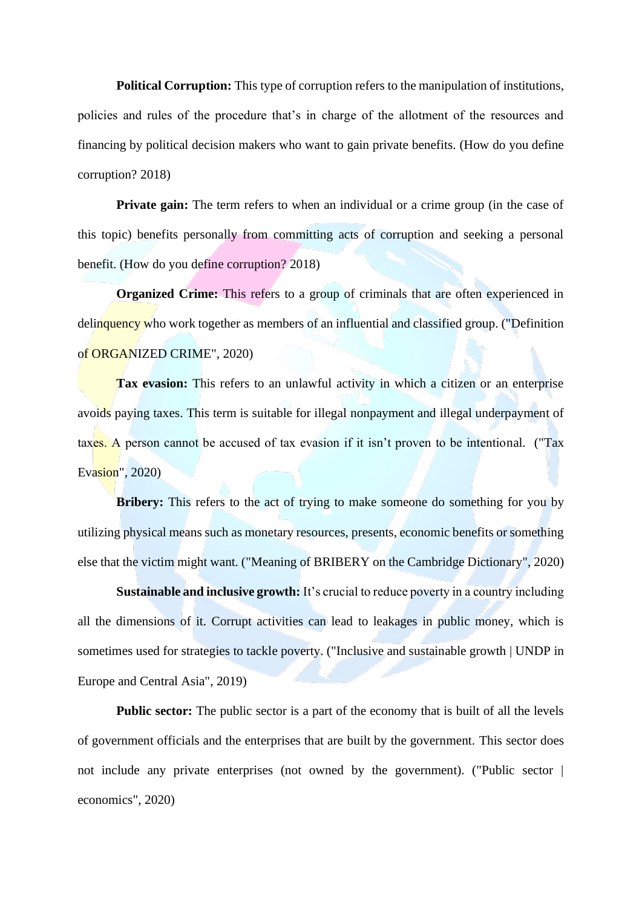**Political Corruption:** This type of corruption refers to the manipulation of institutions, policies and rules of the procedure that's in charge of the allotment of the resources and financing by political decision makers who want to gain private benefits. (How do you define corruption? 2018)

**Private gain:** The term refers to when an individual or a crime group (in the case of this topic) benefits personally from committing acts of corruption and seeking a personal benefit. (How do you define corruption? 2018)

**Organized Crime:** This refers to a group of criminals that are often experienced in delinquency who work together as members of an influential and classified group. ("Definition of ORGANIZED CRIME", 2020)

**Tax evasion:** This refers to an unlawful activity in which a citizen or an enterprise avoids paying taxes. This term is suitable for illegal nonpayment and illegal underpayment of taxes. A person cannot be accused of tax evasion if it isn't proven to be intentional. ("Tax Evasion", 2020)

**Bribery:** This refers to the act of trying to make someone do something for you by utilizing physical means such as monetary resources, presents, economic benefits or something else that the victim might want. ("Meaning of BRIBERY on the Cambridge Dictionary", 2020)

**Sustainable and inclusive growth:** It's crucial to reduce poverty in a country including all the dimensions of it. Corrupt activities can lead to leakages in public money, which is sometimes used for strategies to tackle poverty. ("Inclusive and sustainable growth | UNDP in Europe and Central Asia", 2019)

**Public sector:** The public sector is a part of the economy that is built of all the levels of government officials and the enterprises that are built by the government. This sector does not include any private enterprises (not owned by the government). ("Public sector  $\vert$ economics", 2020)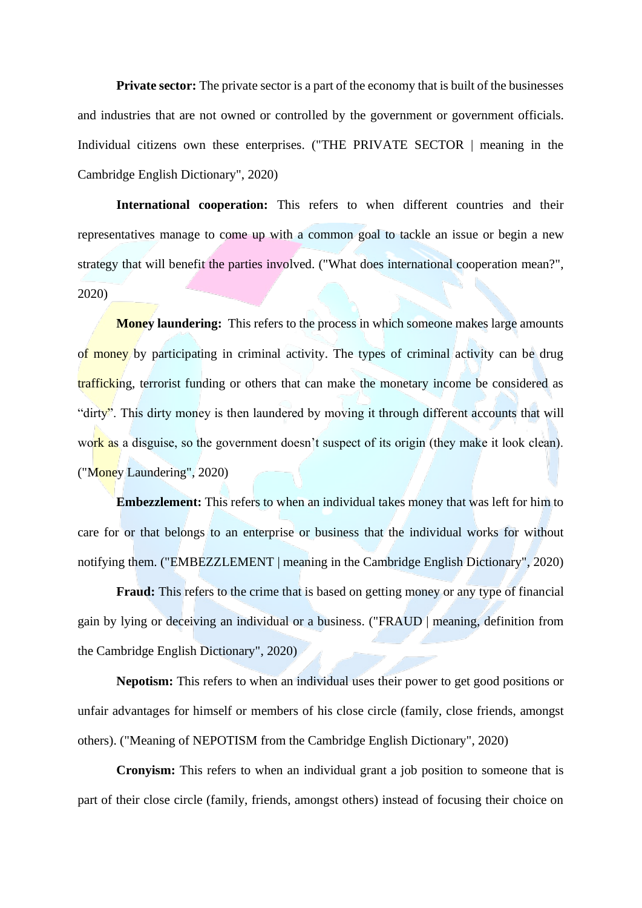**Private sector:** The private sector is a part of the economy that is built of the businesses and industries that are not owned or controlled by the government or government officials. Individual citizens own these enterprises. ("THE PRIVATE SECTOR | meaning in the Cambridge English Dictionary", 2020)

**International cooperation:** This refers to when different countries and their representatives manage to come up with a common goal to tackle an issue or begin a new strategy that will benefit the parties involved. ("What does international cooperation mean?", 2020)

**Money laundering:** This refers to the process in which someone makes large amounts of money by participating in criminal activity. The types of criminal activity can be drug trafficking, terrorist funding or others that can make the monetary income be considered as "dirty". This dirty money is then laundered by moving it through different accounts that will work as a disguise, so the government doesn't suspect of its origin (they make it look clean). ("Money Laundering", 2020)

**Embezzlement:** This refers to when an individual takes money that was left for him to care for or that belongs to an enterprise or business that the individual works for without notifying them. ("EMBEZZLEMENT | meaning in the Cambridge English Dictionary", 2020)

**Fraud:** This refers to the crime that is based on getting money or any type of financial gain by lying or deceiving an individual or a business. ("FRAUD | meaning, definition from the Cambridge English Dictionary", 2020)

**Nepotism:** This refers to when an individual uses their power to get good positions or unfair advantages for himself or members of his close circle (family, close friends, amongst others). ("Meaning of NEPOTISM from the Cambridge English Dictionary", 2020)

**Cronyism:** This refers to when an individual grant a job position to someone that is part of their close circle (family, friends, amongst others) instead of focusing their choice on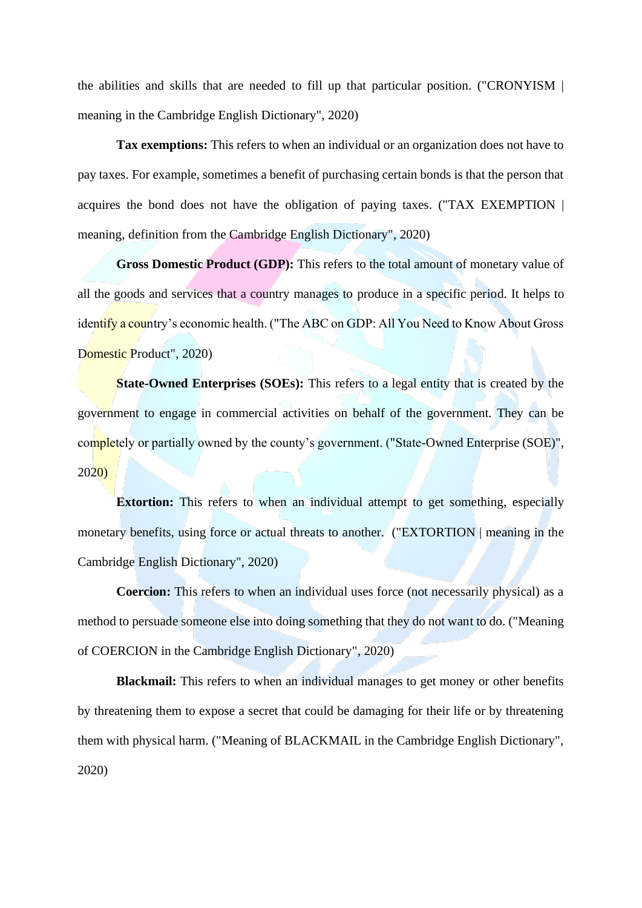the abilities and skills that are needed to fill up that particular position. ("CRONYISM | meaning in the Cambridge English Dictionary", 2020)

**Tax exemptions:** This refers to when an individual or an organization does not have to pay taxes. For example, sometimes a benefit of purchasing certain bonds is that the person that acquires the bond does not have the obligation of paying taxes. ("TAX EXEMPTION | meaning, definition from the Cambridge English Dictionary", 2020)

**Gross Domestic Product (GDP):** This refers to the total amount of monetary value of all the goods and services that a country manages to produce in a specific period. It helps to identify a country's economic health. ("The ABC on GDP: All You Need to Know About Gross Domestic Product", 2020)

**State-Owned Enterprises (SOEs):** This refers to a legal entity that is created by the government to engage in commercial activities on behalf of the government. They can be completely or partially owned by the county's government. ("State-Owned Enterprise (SOE)", 2020)

**Extortion:** This refers to when an individual attempt to get something, especially monetary benefits, using force or actual threats to another. ("EXTORTION | meaning in the Cambridge English Dictionary", 2020)

**Coercion:** This refers to when an individual uses force (not necessarily physical) as a method to persuade someone else into doing something that they do not want to do. ("Meaning of COERCION in the Cambridge English Dictionary", 2020)

**Blackmail:** This refers to when an individual manages to get money or other benefits by threatening them to expose a secret that could be damaging for their life or by threatening them with physical harm. ("Meaning of BLACKMAIL in the Cambridge English Dictionary", 2020)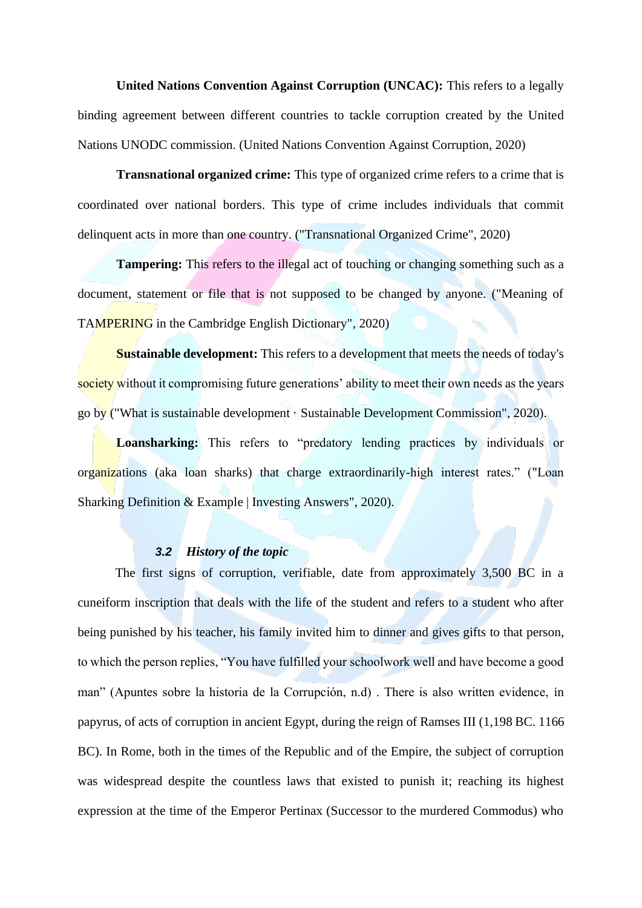**United Nations Convention Against Corruption (UNCAC):** This refers to a legally binding agreement between different countries to tackle corruption created by the United Nations UNODC commission. (United Nations Convention Against Corruption, 2020)

**Transnational organized crime:** This type of organized crime refers to a crime that is coordinated over national borders. This type of crime includes individuals that commit delinquent acts in more than one country. ("Transnational Organized Crime", 2020)

**Tampering:** This refers to the illegal act of touching or changing something such as a document, statement or file that is not supposed to be changed by anyone. ("Meaning of TAMPERING in the Cambridge English Dictionary", 2020)

**Sustainable development:** This refers to a development that meets the needs of today's society without it compromising future generations' ability to meet their own needs as the years go by ("What is sustainable development · Sustainable Development Commission", 2020).

**Loansharking:** This refers to "predatory lending practices by individuals or organizations (aka loan sharks) that charge extraordinarily-high interest rates." ("Loan Sharking Definition & Example | Investing Answers", 2020).

# *3.2 History of the topic*

<span id="page-9-0"></span>The first signs of corruption, verifiable, date from approximately 3,500 BC in a cuneiform inscription that deals with the life of the student and refers to a student who after being punished by his teacher, his family invited him to dinner and gives gifts to that person, to which the person replies, "You have fulfilled your schoolwork well and have become a good man" (Apuntes sobre la historia de la Corrupción, n.d) . There is also written evidence, in papyrus, of acts of corruption in ancient Egypt, during the reign of Ramses III (1,198 BC. 1166 BC). In Rome, both in the times of the Republic and of the Empire, the subject of corruption was widespread despite the countless laws that existed to punish it; reaching its highest expression at the time of the Emperor Pertinax (Successor to the murdered Commodus) who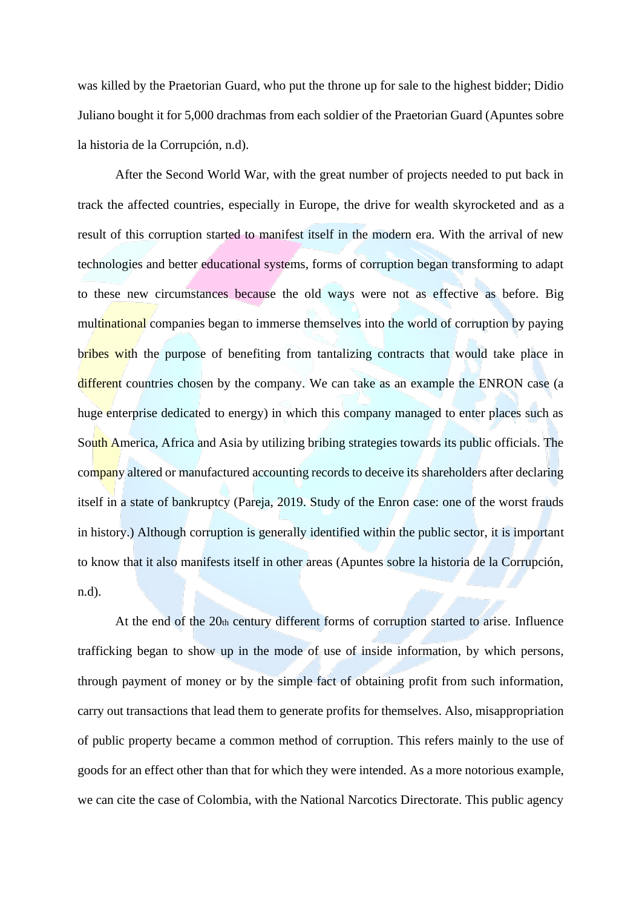was killed by the Praetorian Guard, who put the throne up for sale to the highest bidder; Didio Juliano bought it for 5,000 drachmas from each soldier of the Praetorian Guard (Apuntes sobre la historia de la Corrupción, n.d).

After the Second World War, with the great number of projects needed to put back in track the affected countries, especially in Europe, the drive for wealth skyrocketed and as a result of this corruption started to manifest itself in the modern era. With the arrival of new technologies and better educational systems, forms of corruption began transforming to adapt to these new circumstances because the old ways were not as effective as before. Big multinational companies began to immerse themselves into the world of corruption by paying bribes with the purpose of benefiting from tantalizing contracts that would take place in different countries chosen by the company. We can take as an example the ENRON case (a huge enterprise dedicated to energy) in which this company managed to enter places such as South America, Africa and Asia by utilizing bribing strategies towards its public officials. The company altered or manufactured accounting records to deceive its shareholders after declaring itself in a state of bankruptcy (Pareja, 2019. Study of the Enron case: one of the worst frauds in history.) Although corruption is generally identified within the public sector, it is important to know that it also manifests itself in other areas (Apuntes sobre la historia de la Corrupción, n.d).

At the end of the 20th century different forms of corruption started to arise. Influence trafficking began to show up in the mode of use of inside information, by which persons, through payment of money or by the simple fact of obtaining profit from such information, carry out transactions that lead them to generate profits for themselves. Also, misappropriation of public property became a common method of corruption. This refers mainly to the use of goods for an effect other than that for which they were intended. As a more notorious example, we can cite the case of Colombia, with the National Narcotics Directorate. This public agency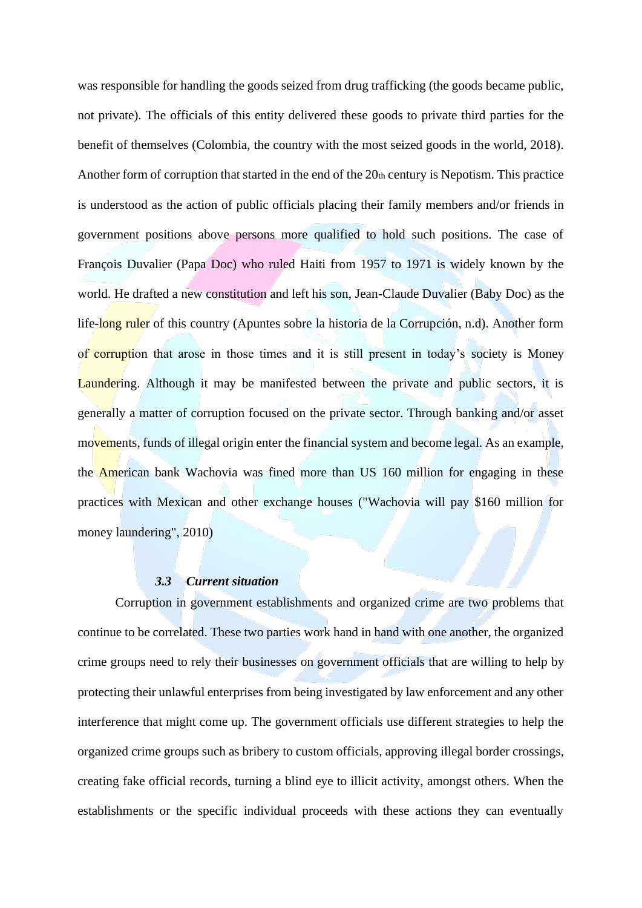was responsible for handling the goods seized from drug trafficking (the goods became public, not private). The officials of this entity delivered these goods to private third parties for the benefit of themselves (Colombia, the country with the most seized goods in the world, 2018). Another form of corruption that started in the end of the 20th century is Nepotism. This practice is understood as the action of public officials placing their family members and/or friends in government positions above persons more qualified to hold such positions. The case of François Duvalier (Papa Doc) who ruled Haiti from 1957 to 1971 is widely known by the world. He drafted a new constitution and left his son, Jean-Claude Duvalier (Baby Doc) as the life-long ruler of this country (Apuntes sobre la historia de la Corrupción, n.d). Another form of corruption that arose in those times and it is still present in today's society is Money Laundering. Although it may be manifested between the private and public sectors, it is generally a matter of corruption focused on the private sector. Through banking and/or asset movements, funds of illegal origin enter the financial system and become legal. As an example, the American bank Wachovia was fined more than US 160 million for engaging in these practices with Mexican and other exchange houses ("Wachovia will pay \$160 million for money laundering", 2010)

#### *3.3 Current situation*

<span id="page-11-0"></span>Corruption in government establishments and organized crime are two problems that continue to be correlated. These two parties work hand in hand with one another, the organized crime groups need to rely their businesses on government officials that are willing to help by protecting their unlawful enterprises from being investigated by law enforcement and any other interference that might come up. The government officials use different strategies to help the organized crime groups such as bribery to custom officials, approving illegal border crossings, creating fake official records, turning a blind eye to illicit activity, amongst others. When the establishments or the specific individual proceeds with these actions they can eventually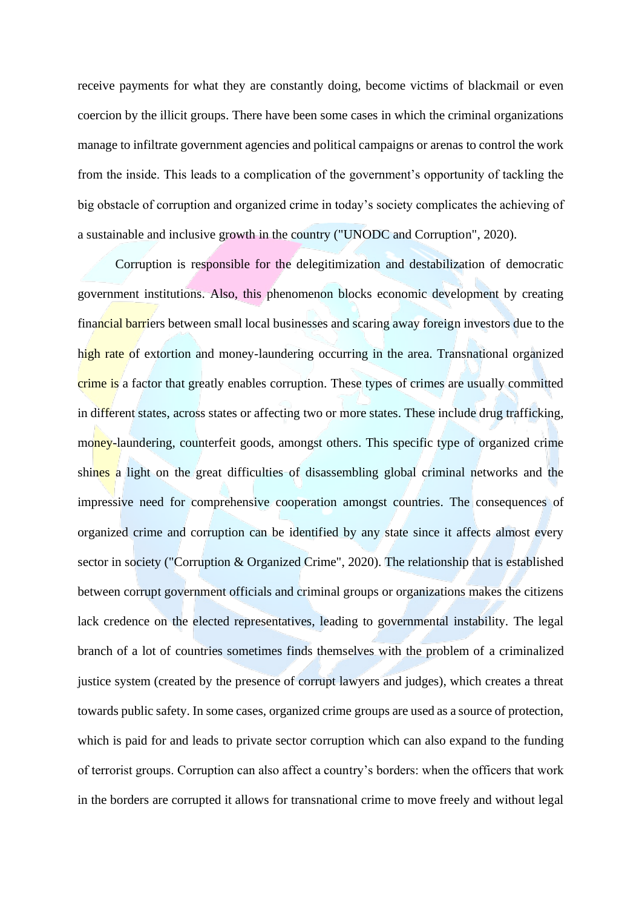receive payments for what they are constantly doing, become victims of blackmail or even coercion by the illicit groups. There have been some cases in which the criminal organizations manage to infiltrate government agencies and political campaigns or arenas to control the work from the inside. This leads to a complication of the government's opportunity of tackling the big obstacle of corruption and organized crime in today's society complicates the achieving of a sustainable and inclusive growth in the country ("UNODC and Corruption", 2020).

Corruption is responsible for the delegitimization and destabilization of democratic government institutions. Also, this phenomenon blocks economic development by creating financial barriers between small local businesses and scaring away foreign investors due to the high rate of extortion and money-laundering occurring in the area. Transnational organized crime is a factor that greatly enables corruption. These types of crimes are usually committed in different states, across states or affecting two or more states. These include drug trafficking, money-laundering, counterfeit goods, amongst others. This specific type of organized crime shines a light on the great difficulties of disassembling global criminal networks and the impressive need for comprehensive cooperation amongst countries. The consequences of organized crime and corruption can be identified by any state since it affects almost every sector in society ("Corruption & Organized Crime", 2020). The relationship that is established between corrupt government officials and criminal groups or organizations makes the citizens lack credence on the elected representatives, leading to governmental instability. The legal branch of a lot of countries sometimes finds themselves with the problem of a criminalized justice system (created by the presence of corrupt lawyers and judges), which creates a threat towards public safety. In some cases, organized crime groups are used as a source of protection, which is paid for and leads to private sector corruption which can also expand to the funding of terrorist groups. Corruption can also affect a country's borders: when the officers that work in the borders are corrupted it allows for transnational crime to move freely and without legal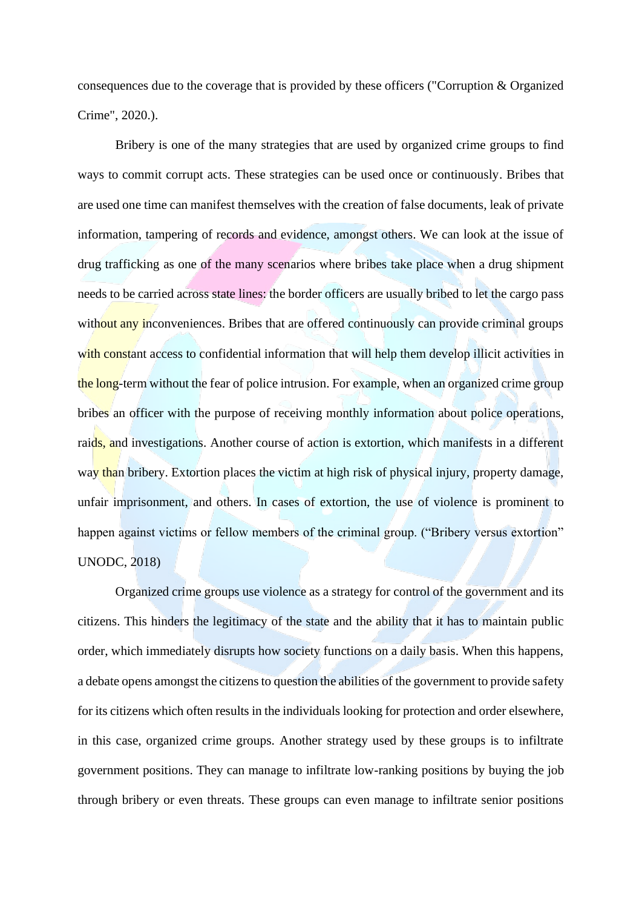consequences due to the coverage that is provided by these officers ("Corruption & Organized Crime", 2020.).

Bribery is one of the many strategies that are used by organized crime groups to find ways to commit corrupt acts. These strategies can be used once or continuously. Bribes that are used one time can manifest themselves with the creation of false documents, leak of private information, tampering of records and evidence, amongst others. We can look at the issue of drug trafficking as one of the many scenarios where bribes take place when a drug shipment needs to be carried across state lines: the border officers are usually bribed to let the cargo pass without any inconveniences. Bribes that are offered continuously can provide criminal groups with constant access to confidential information that will help them develop illicit activities in the long-term without the fear of police intrusion. For example, when an organized crime group bribes an officer with the purpose of receiving monthly information about police operations, raids, and investigations. Another course of action is extortion, which manifests in a different way than bribery. Extortion places the victim at high risk of physical injury, property damage, unfair imprisonment, and others. In cases of extortion, the use of violence is prominent to happen against victims or fellow members of the criminal group. ("Bribery versus extortion" UNODC, 2018)

Organized crime groups use violence as a strategy for control of the government and its citizens. This hinders the legitimacy of the state and the ability that it has to maintain public order, which immediately disrupts how society functions on a daily basis. When this happens, a debate opens amongst the citizens to question the abilities of the government to provide safety for its citizens which often results in the individuals looking for protection and order elsewhere, in this case, organized crime groups. Another strategy used by these groups is to infiltrate government positions. They can manage to infiltrate low-ranking positions by buying the job through bribery or even threats. These groups can even manage to infiltrate senior positions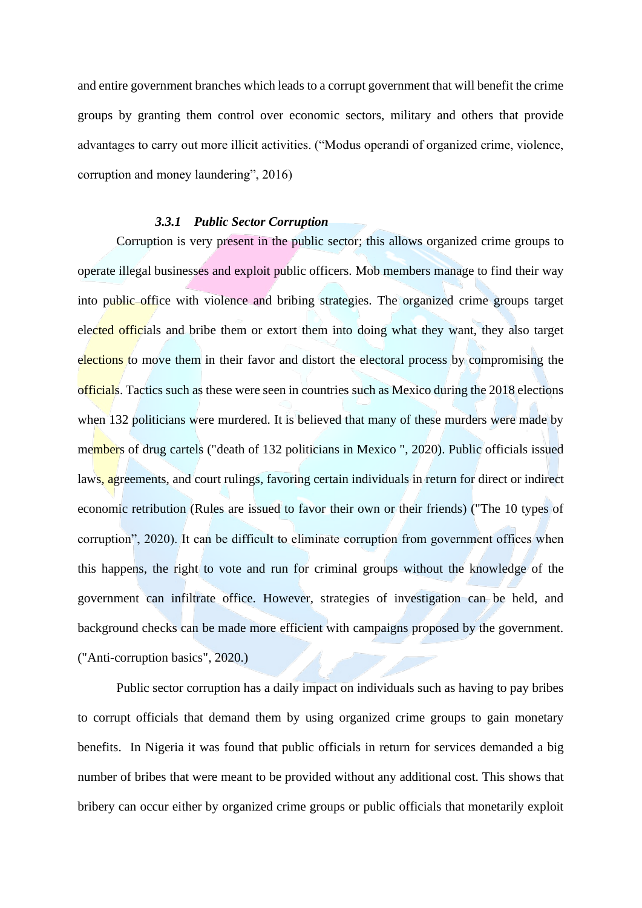and entire government branches which leads to a corrupt government that will benefit the crime groups by granting them control over economic sectors, military and others that provide advantages to carry out more illicit activities. ("Modus operandi of organized crime, violence, corruption and money laundering", 2016)

# *3.3.1 Public Sector Corruption*

<span id="page-14-0"></span>Corruption is very present in the public sector; this allows organized crime groups to operate illegal businesses and exploit public officers. Mob members manage to find their way into public office with violence and bribing strategies. The organized crime groups target elected officials and bribe them or extort them into doing what they want, they also target elections to move them in their favor and distort the electoral process by compromising the officials. Tactics such as these were seen in countries such as Mexico during the 2018 elections when 132 politicians were murdered. It is believed that many of these murders were made by members of drug cartels ("death of 132 politicians in Mexico ", 2020). Public officials issued laws, agreements, and court rulings, favoring certain individuals in return for direct or indirect economic retribution (Rules are issued to favor their own or their friends) ("The 10 types of corruption", 2020). It can be difficult to eliminate corruption from government offices when this happens, the right to vote and run for criminal groups without the knowledge of the government can infiltrate office. However, strategies of investigation can be held, and background checks can be made more efficient with campaigns proposed by the government. ("Anti-corruption basics", 2020.)

 Public sector corruption has a daily impact on individuals such as having to pay bribes to corrupt officials that demand them by using organized crime groups to gain monetary benefits. In Nigeria it was found that public officials in return for services demanded a big number of bribes that were meant to be provided without any additional cost. This shows that bribery can occur either by organized crime groups or public officials that monetarily exploit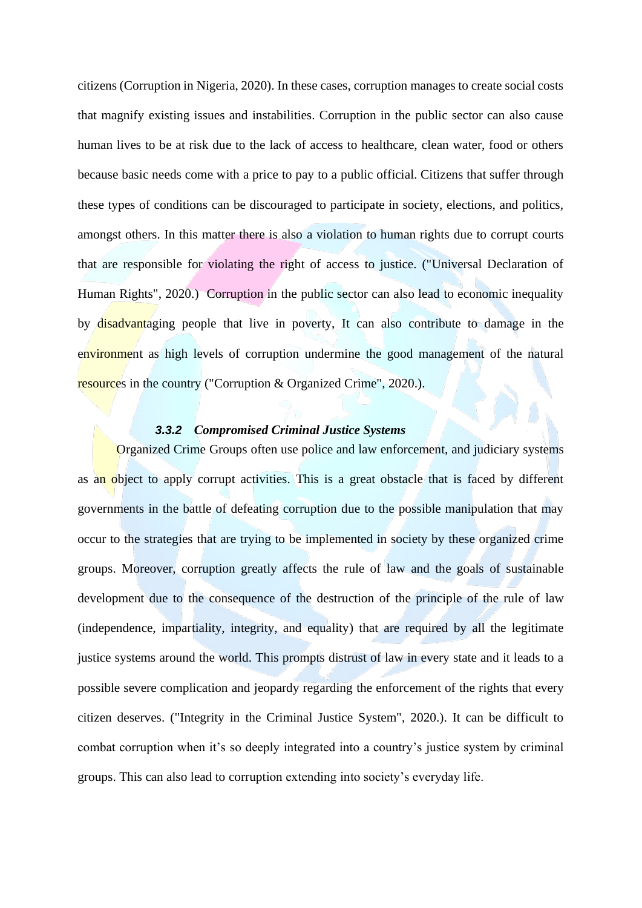citizens (Corruption in Nigeria, 2020). In these cases, corruption manages to create social costs that magnify existing issues and instabilities. Corruption in the public sector can also cause human lives to be at risk due to the lack of access to healthcare, clean water, food or others because basic needs come with a price to pay to a public official. Citizens that suffer through these types of conditions can be discouraged to participate in society, elections, and politics, amongst others. In this matter there is also a violation to human rights due to corrupt courts that are responsible for violating the right of access to justice. ("Universal Declaration of Human Rights", 2020.) Corruption in the public sector can also lead to economic inequality by disadvantaging people that live in poverty, It can also contribute to damage in the environment as high levels of corruption undermine the good management of the natural resources in the country ("Corruption & Organized Crime", 2020.).

#### *3.3.2 Compromised Criminal Justice Systems*

<span id="page-15-0"></span>Organized Crime Groups often use police and law enforcement, and judiciary systems as an object to apply corrupt activities. This is a great obstacle that is faced by different governments in the battle of defeating corruption due to the possible manipulation that may occur to the strategies that are trying to be implemented in society by these organized crime groups. Moreover, corruption greatly affects the rule of law and the goals of sustainable development due to the consequence of the destruction of the principle of the rule of law (independence, impartiality, integrity, and equality) that are required by all the legitimate justice systems around the world. This prompts distrust of law in every state and it leads to a possible severe complication and jeopardy regarding the enforcement of the rights that every citizen deserves. ("Integrity in the Criminal Justice System", 2020.). It can be difficult to combat corruption when it's so deeply integrated into a country's justice system by criminal groups. This can also lead to corruption extending into society's everyday life.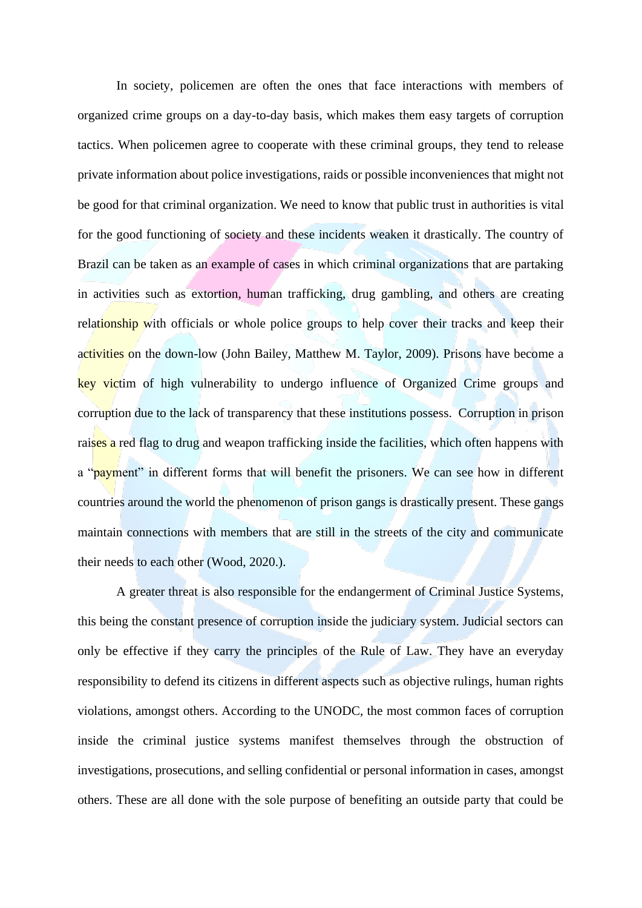In society, policemen are often the ones that face interactions with members of organized crime groups on a day-to-day basis, which makes them easy targets of corruption tactics. When policemen agree to cooperate with these criminal groups, they tend to release private information about police investigations, raids or possible inconveniences that might not be good for that criminal organization. We need to know that public trust in authorities is vital for the good functioning of society and these incidents weaken it drastically. The country of Brazil can be taken as an example of cases in which criminal organizations that are partaking in activities such as extortion, human trafficking, drug gambling, and others are creating relationship with officials or whole police groups to help cover their tracks and keep their activities on the down-low (John Bailey, Matthew M. Taylor, 2009). Prisons have become a key victim of high vulnerability to undergo influence of Organized Crime groups and corruption due to the lack of transparency that these institutions possess. Corruption in prison raises a red flag to drug and weapon trafficking inside the facilities, which often happens with a "payment" in different forms that will benefit the prisoners. We can see how in different countries around the world the phenomenon of prison gangs is drastically present. These gangs maintain connections with members that are still in the streets of the city and communicate their needs to each other (Wood, 2020.).

A greater threat is also responsible for the endangerment of Criminal Justice Systems, this being the constant presence of corruption inside the judiciary system. Judicial sectors can only be effective if they carry the principles of the Rule of Law. They have an everyday responsibility to defend its citizens in different aspects such as objective rulings, human rights violations, amongst others. According to the UNODC, the most common faces of corruption inside the criminal justice systems manifest themselves through the obstruction of investigations, prosecutions, and selling confidential or personal information in cases, amongst others. These are all done with the sole purpose of benefiting an outside party that could be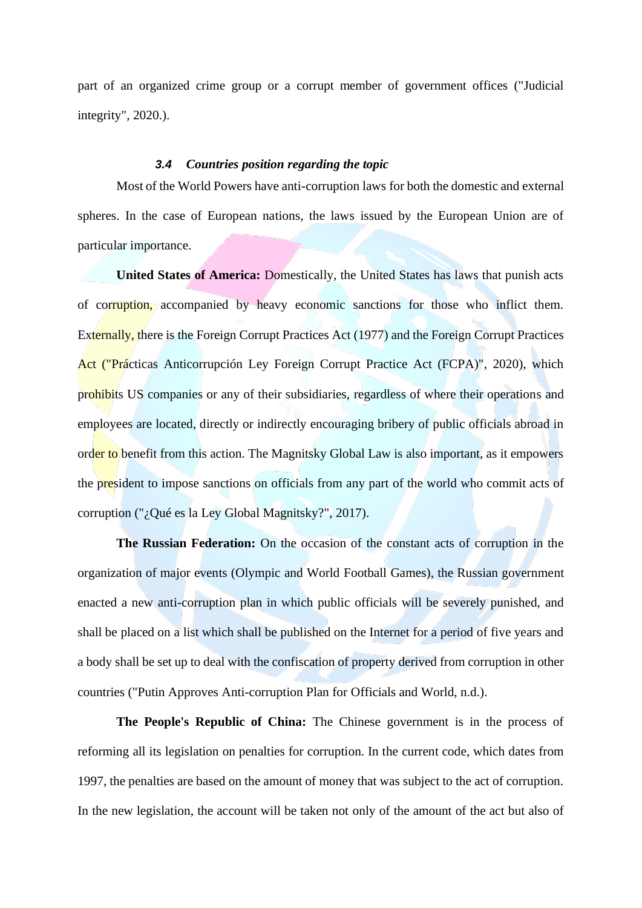part of an organized crime group or a corrupt member of government offices ("Judicial integrity", 2020.).

### *3.4 Countries position regarding the topic*

<span id="page-17-0"></span>Most of the World Powers have anti-corruption laws for both the domestic and external spheres. In the case of European nations, the laws issued by the European Union are of particular importance.

**United States of America:** Domestically, the United States has laws that punish acts of corruption, accompanied by heavy economic sanctions for those who inflict them. Externally, there is the Foreign Corrupt Practices Act (1977) and the Foreign Corrupt Practices Act ("Prácticas Anticorrupción Ley Foreign Corrupt Practice Act (FCPA)", 2020), which prohibits US companies or any of their subsidiaries, regardless of where their operations and employees are located, directly or indirectly encouraging bribery of public officials abroad in order to benefit from this action. The Magnitsky Global Law is also important, as it empowers the president to impose sanctions on officials from any part of the world who commit acts of corruption ("¿Qué es la Ley Global Magnitsky?", 2017).

**The Russian Federation:** On the occasion of the constant acts of corruption in the organization of major events (Olympic and World Football Games), the Russian government enacted a new anti-corruption plan in which public officials will be severely punished, and shall be placed on a list which shall be published on the Internet for a period of five years and a body shall be set up to deal with the confiscation of property derived from corruption in other countries ("Putin Approves Anti-corruption Plan for Officials and World, n.d.).

**The People's Republic of China:** The Chinese government is in the process of reforming all its legislation on penalties for corruption. In the current code, which dates from 1997, the penalties are based on the amount of money that was subject to the act of corruption. In the new legislation, the account will be taken not only of the amount of the act but also of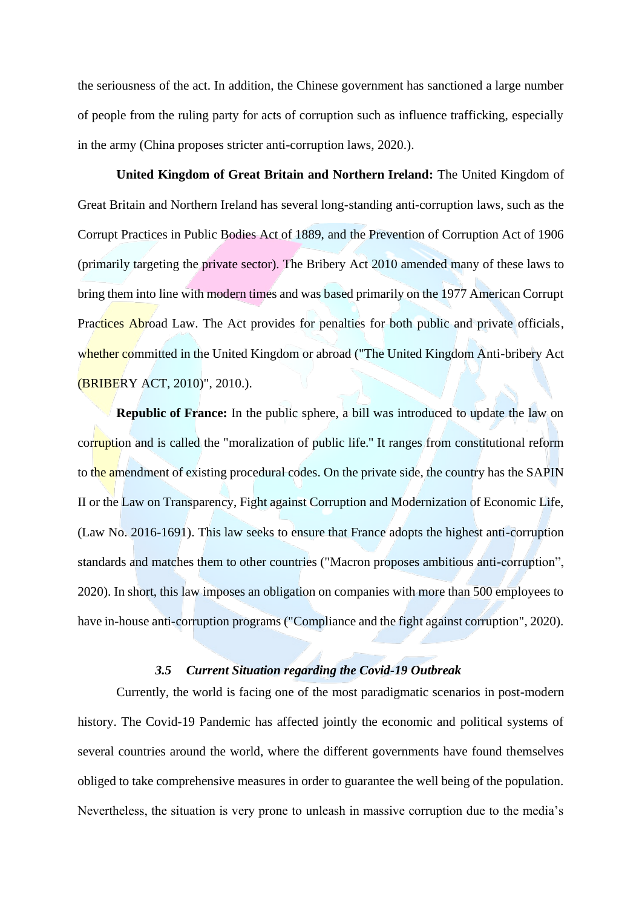the seriousness of the act. In addition, the Chinese government has sanctioned a large number of people from the ruling party for acts of corruption such as influence trafficking, especially in the army (China proposes stricter anti-corruption laws, 2020.).

**United Kingdom of Great Britain and Northern Ireland:** The United Kingdom of Great Britain and Northern Ireland has several long-standing anti-corruption laws, such as the Corrupt Practices in Public Bodies Act of 1889, and the Prevention of Corruption Act of 1906 (primarily targeting the private sector). The Bribery Act 2010 amended many of these laws to bring them into line with modern times and was based primarily on the 1977 American Corrupt Practices Abroad Law. The Act provides for penalties for both public and private officials, whether committed in the United Kingdom or abroad ("The United Kingdom Anti-bribery Act (BRIBERY ACT, 2010)", 2010.).

**Republic of France:** In the public sphere, a bill was introduced to update the law on corruption and is called the "moralization of public life.'' It ranges from constitutional reform to the amendment of existing procedural codes. On the private side, the country has the SAPIN II or the Law on Transparency, Fight against Corruption and Modernization of Economic Life, (Law No. 2016-1691). This law seeks to ensure that France adopts the highest anti-corruption standards and matches them to other countries ("Macron proposes ambitious anti-corruption", 2020). In short, this law imposes an obligation on companies with more than 500 employees to have in-house anti-corruption programs ("Compliance and the fight against corruption", 2020).

#### *3.5 Current Situation regarding the Covid-19 Outbreak*

<span id="page-18-0"></span>Currently, the world is facing one of the most paradigmatic scenarios in post-modern history. The Covid-19 Pandemic has affected jointly the economic and political systems of several countries around the world, where the different governments have found themselves obliged to take comprehensive measures in order to guarantee the well being of the population. Nevertheless, the situation is very prone to unleash in massive corruption due to the media's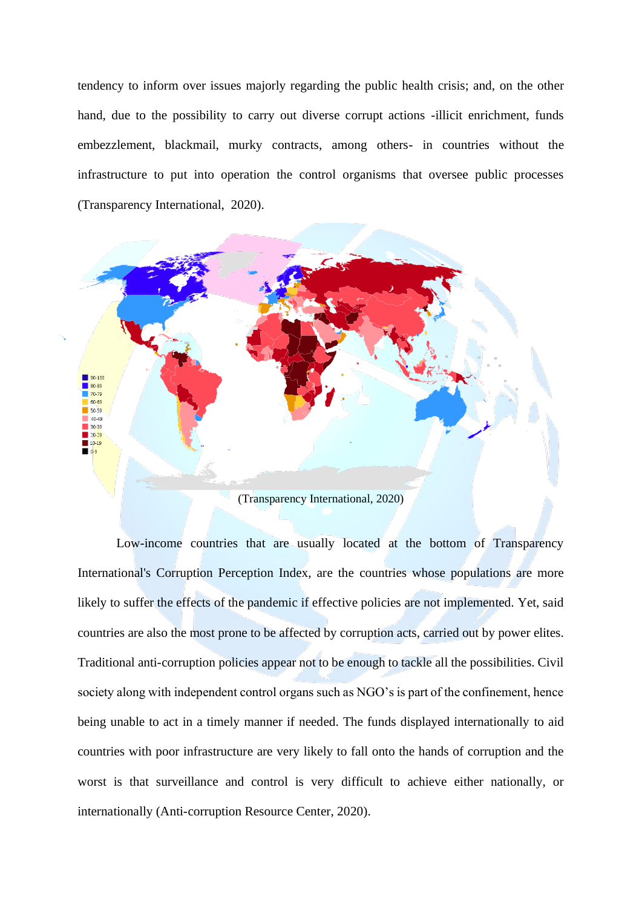tendency to inform over issues majorly regarding the public health crisis; and, on the other hand, due to the possibility to carry out diverse corrupt actions -illicit enrichment, funds embezzlement, blackmail, murky contracts, among others- in countries without the infrastructure to put into operation the control organisms that oversee public processes (Transparency International, 2020).



Low-income countries that are usually located at the bottom of Transparency International's Corruption Perception Index, are the countries whose populations are more likely to suffer the effects of the pandemic if effective policies are not implemented. Yet, said countries are also the most prone to be affected by corruption acts, carried out by power elites. Traditional anti-corruption policies appear not to be enough to tackle all the possibilities. Civil society along with independent control organs such as NGO's is part of the confinement, hence being unable to act in a timely manner if needed. The funds displayed internationally to aid countries with poor infrastructure are very likely to fall onto the hands of corruption and the worst is that surveillance and control is very difficult to achieve either nationally, or internationally (Anti-corruption Resource Center, 2020).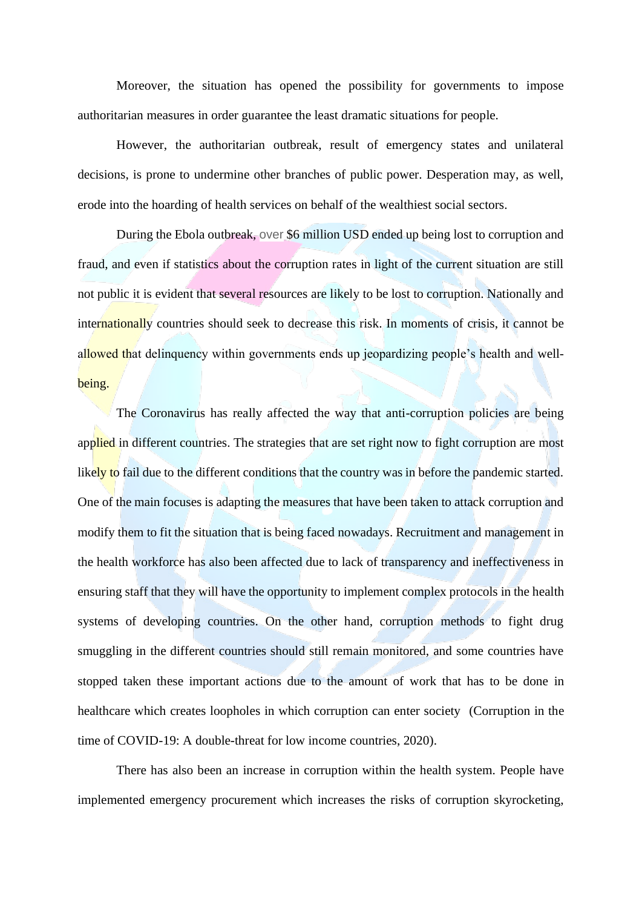Moreover, the situation has opened the possibility for governments to impose authoritarian measures in order guarantee the least dramatic situations for people.

However, the authoritarian outbreak, result of emergency states and unilateral decisions, is prone to undermine other branches of public power. Desperation may, as well, erode into the hoarding of health services on behalf of the wealthiest social sectors.

During the Ebola outbreak, over \$6 million USD ended up being lost to corruption and fraud, and even if statistics about the corruption rates in light of the current situation are still not public it is evident that several resources are likely to be lost to corruption. Nationally and internationally countries should seek to decrease this risk. In moments of crisis, it cannot be allowed that delinquency within governments ends up jeopardizing people's health and wellbeing.

The Coronavirus has really affected the way that anti-corruption policies are being applied in different countries. The strategies that are set right now to fight corruption are most likely to fail due to the different conditions that the country was in before the pandemic started. One of the main focuses is adapting the measures that have been taken to attack corruption and modify them to fit the situation that is being faced nowadays. Recruitment and management in the health workforce has also been affected due to lack of transparency and ineffectiveness in ensuring staff that they will have the opportunity to implement complex protocols in the health systems of developing countries. On the other hand, corruption methods to fight drug smuggling in the different countries should still remain monitored, and some countries have stopped taken these important actions due to the amount of work that has to be done in healthcare which creates loopholes in which corruption can enter society (Corruption in the time of COVID-19: A double-threat for low income countries, 2020).

There has also been an increase in corruption within the health system. People have implemented emergency procurement which increases the risks of corruption skyrocketing,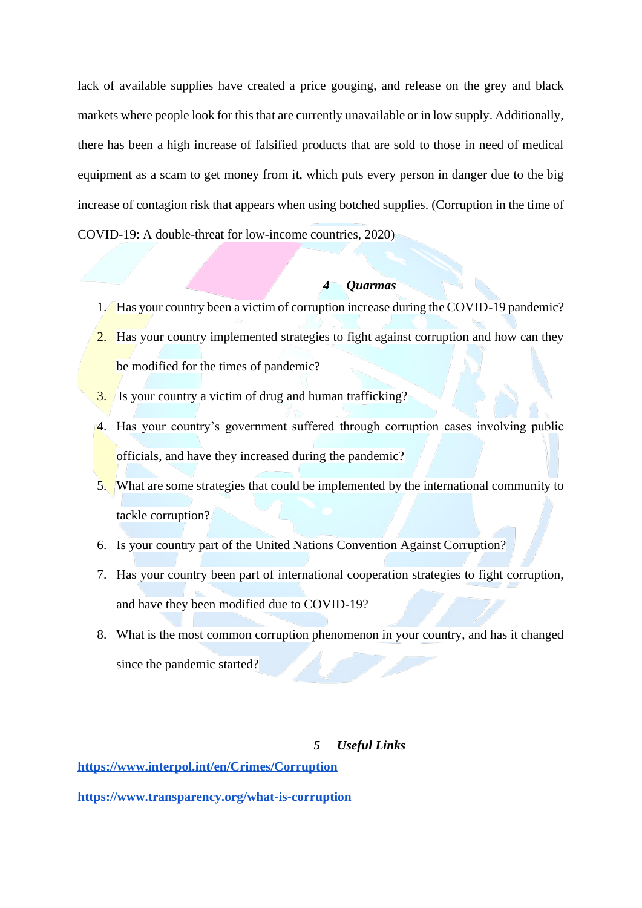lack of available supplies have created a price gouging, and release on the grey and black markets where people look for this that are currently unavailable or in low supply. Additionally, there has been a high increase of falsified products that are sold to those in need of medical equipment as a scam to get money from it, which puts every person in danger due to the big increase of contagion risk that appears when using botched supplies. (Corruption in the time of COVID-19: A double-threat for low-income countries, 2020)

## *4 Quarmas*

- <span id="page-21-0"></span>1. Has your country been a victim of corruption increase during the COVID-19 pandemic?
- 2. Has your country implemented strategies to fight against corruption and how can they be modified for the times of pandemic?
- 3. Is your country a victim of drug and human trafficking?
- 4. Has your country's government suffered through corruption cases involving public officials, and have they increased during the pandemic?
- 5. What are some strategies that could be implemented by the international community to tackle corruption?
- 6. Is your country part of the United Nations Convention Against Corruption?
- 7. Has your country been part of international cooperation strategies to fight corruption, and have they been modified due to COVID-19?
- 8. What is the most common corruption phenomenon in your country, and has it changed since the pandemic started?

### *5 Useful Links*

<span id="page-21-1"></span>**<https://www.interpol.int/en/Crimes/Corruption>**

**<https://www.transparency.org/what-is-corruption>**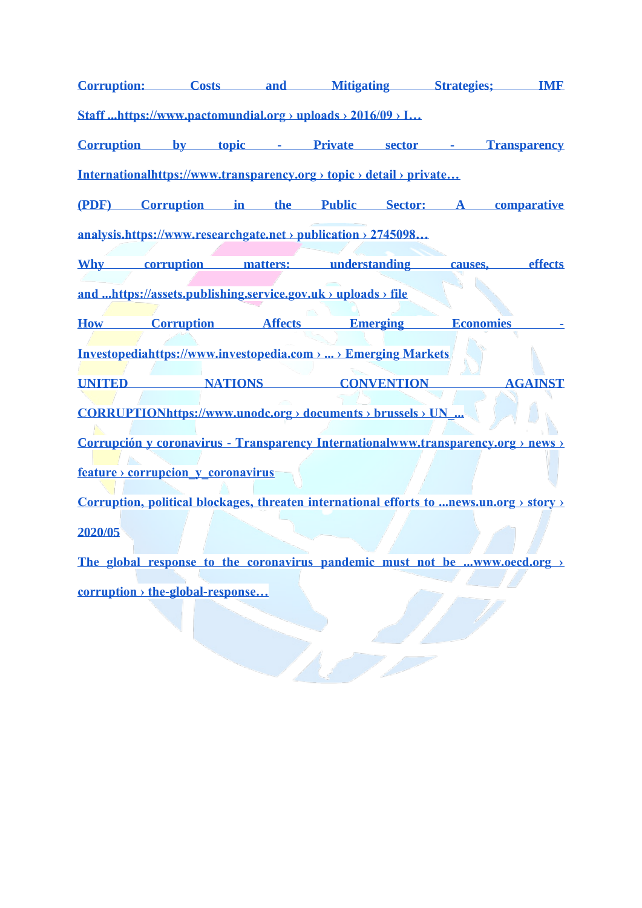**[Corruption: Costs and Mitigating Strategies; IMF](https://www.pactomundial.org/wp-content/uploads/2016/09/IMF-Discussion-Notes-Summit-May-2016.pdf)** 

**[Staff ...https://www.pactomundial.org › uploads › 2016/09 › I…](https://www.pactomundial.org/wp-content/uploads/2016/09/IMF-Discussion-Notes-Summit-May-2016.pdf)**

**[Corruption by topic -](https://www.transparency.org/topic/detail/private_sector) Private sector - Transparency** 

**[Internationalhttps://www.transparency.org › topic › detail › private…](https://www.transparency.org/topic/detail/private_sector)**

**[\(PDF\) Corruption in the Public Sector: A comparative](https://www.researchgate.net/publication/274509887_Corruption_in_the_Public_Sector_A_comparative_analysis)  [analysis.https://www.researchgate.net › publication › 2745098…](https://www.researchgate.net/publication/274509887_Corruption_in_the_Public_Sector_A_comparative_analysis)**

**Why [corruption matters: understanding causes, effects](https://assets.publishing.service.gov.uk/government/uploads/system/uploads/attachment_data/file/406346/corruption-evidence-paper-why-corruption-matters.pdf)** 

**[and ...https://assets.publishing.service.gov.uk › uploads › file](https://assets.publishing.service.gov.uk/government/uploads/system/uploads/attachment_data/file/406346/corruption-evidence-paper-why-corruption-matters.pdf)**

**How Corruption Affects Emerging Economies** 

**[Investopediahttps://www.investopedia.com › ... › Emerging Markets](https://www.investopedia.com/articles/investing/012215/how-corruption-affects-emerging-economies.asp)**

**[UNITED NATIONS CONVENTION AGAINST](https://www.unodc.org/documents/brussels/UN_Convention_Against_Corruption.pdf)** 

**[CORRUPTIONhttps://www.unodc.org › documents › brussels › UN\\_...](https://www.unodc.org/documents/brussels/UN_Convention_Against_Corruption.pdf)**

**Corrupción y coronavirus - [Transparency Internationalwww.transparency.org › news ›](https://www.transparency.org/news/feature/corrupcion_y_coronavirus)** 

**[feature › corrupcion\\_y\\_coronavirus](https://www.transparency.org/news/feature/corrupcion_y_coronavirus)**

**[Corruption, political blockages, threaten international efforts to ...news.un.org › story ›](https://news.un.org/en/story/2020/05/1063432)  [2020/05](https://news.un.org/en/story/2020/05/1063432)**

**[The global response to the coronavirus pandemic must not be ...www.oecd.org ›](https://www.oecd.org/corruption/the-global-response-to-the-coronavirus-pandemic-must-not-be-undermined-by-bribery.htm)  [corruption › the-global-response…](https://www.oecd.org/corruption/the-global-response-to-the-coronavirus-pandemic-must-not-be-undermined-by-bribery.htm)**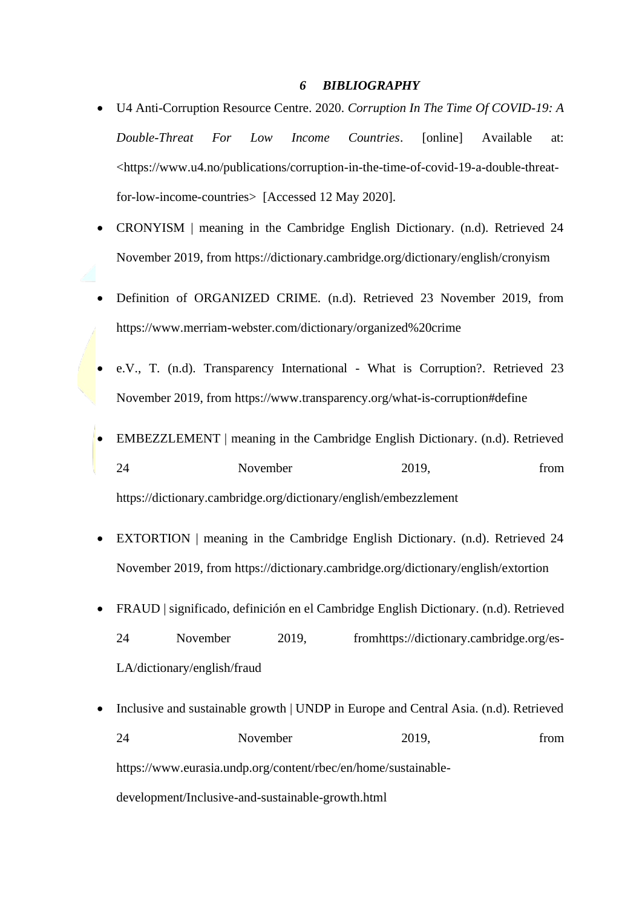#### *6 BIBLIOGRAPHY*

- <span id="page-23-0"></span>• U4 Anti-Corruption Resource Centre. 2020. *Corruption In The Time Of COVID-19: A Double-Threat For Low Income Countries*. [online] Available at: [<https://www.u4.no/publications/corruption-in-the-time-of-covid-19-a-double-threat](https://www.u4.no/publications/corruption-in-the-time-of-covid-19-a-double-threat-for-low-income-countries)[for-low-income-countries>](https://www.u4.no/publications/corruption-in-the-time-of-covid-19-a-double-threat-for-low-income-countries) [Accessed 12 May 2020].
- CRONYISM | meaning in the Cambridge English Dictionary. (n.d). Retrieved 24 November 2019, from<https://dictionary.cambridge.org/dictionary/english/cronyism>
- Definition of ORGANIZED CRIME. (n.d). Retrieved 23 November 2019, from <https://www.merriam-webster.com/dictionary/organized%20crime>
- e.V., T. (n.d). Transparency International What is Corruption?. Retrieved 23 November 2019, from<https://www.transparency.org/what-is-corruption#define>
- EMBEZZLEMENT | meaning in the Cambridge English Dictionary. (n.d). Retrieved 24 November 2019, from <https://dictionary.cambridge.org/dictionary/english/embezzlement>
- EXTORTION | meaning in the Cambridge English Dictionary. (n.d). Retrieved 24 November 2019, from<https://dictionary.cambridge.org/dictionary/english/extortion>
- FRAUD | significado, definición en el Cambridge English Dictionary. (n.d). Retrieved 24 November 2019, fro[mhttps://dictionary.cambridge.org/es-](https://dictionary.cambridge.org/es-LA/dictionary/english/fraud)[LA/dictionary/english/fraud](https://dictionary.cambridge.org/es-LA/dictionary/english/fraud)
- Inclusive and sustainable growth | UNDP in Europe and Central Asia. (n.d). Retrieved 24 November 2019, from the contract of the November 2019, the contract of the contract of the contract of the contract of the contract of the contract of the contract of the contract of the contract of the contract of the [https://www.eurasia.undp.org/content/rbec/en/home/sustainable](https://www.eurasia.undp.org/content/rbec/en/home/sustainable-development/Inclusive-and-sustainable-growth.html)[development/Inclusive-and-sustainable-growth.html](https://www.eurasia.undp.org/content/rbec/en/home/sustainable-development/Inclusive-and-sustainable-growth.html)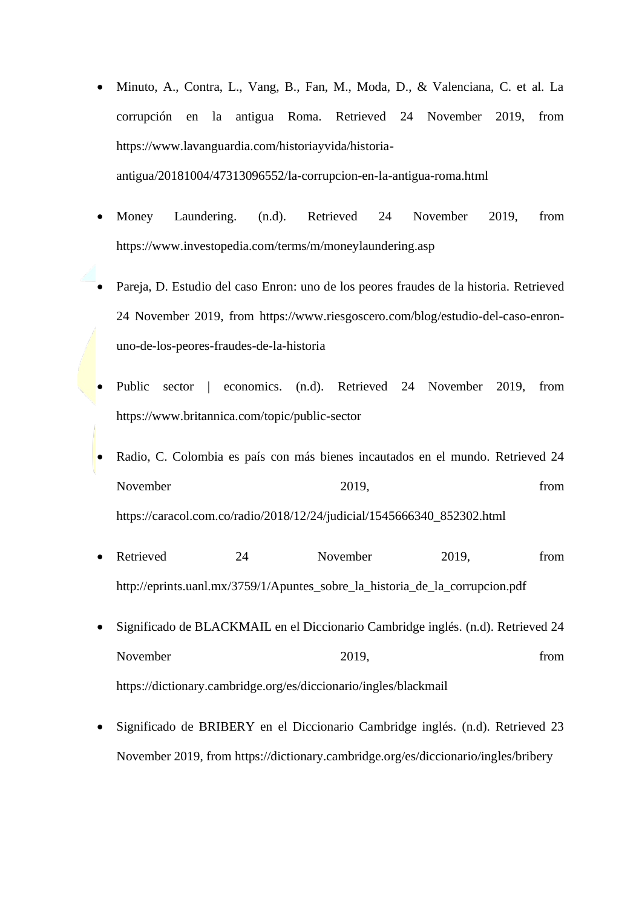- Minuto, A., Contra, L., Vang, B., Fan, M., Moda, D., & Valenciana, C. et al. La corrupción en la antigua Roma. Retrieved 24 November 2019, from [https://www.lavanguardia.com/historiayvida/historia](https://www.lavanguardia.com/historiayvida/historia-antigua/20181004/47313096552/la-corrupcion-en-la-antigua-roma.html)[antigua/20181004/47313096552/la-corrupcion-en-la-antigua-roma.html](https://www.lavanguardia.com/historiayvida/historia-antigua/20181004/47313096552/la-corrupcion-en-la-antigua-roma.html)
- Money Laundering. (n.d). Retrieved 24 November 2019, from <https://www.investopedia.com/terms/m/moneylaundering.asp>
- Pareja, D. Estudio del caso Enron: uno de los peores fraudes de la historia. Retrieved 24 November 2019, from [https://www.riesgoscero.com/blog/estudio-del-caso-enron](https://www.riesgoscero.com/blog/estudio-del-caso-enron-uno-de-los-peores-fraudes-de-la-historia)[uno-de-los-peores-fraudes-de-la-historia](https://www.riesgoscero.com/blog/estudio-del-caso-enron-uno-de-los-peores-fraudes-de-la-historia)
- Public sector | economics. (n.d). Retrieved 24 November 2019, from <https://www.britannica.com/topic/public-sector>
- Radio, C. Colombia es país con más bienes incautados en el mundo. Retrieved 24 November 2019, from  $2019$ , from  $2019$ [https://caracol.com.co/radio/2018/12/24/judicial/1545666340\\_852302.html](https://caracol.com.co/radio/2018/12/24/judicial/1545666340_852302.html)
- Retrieved 24 November 2019, from http://eprints.uanl.mx/3759/1/Apuntes sobre la historia de la corrupcion.pdf
- Significado de BLACKMAIL en el Diccionario Cambridge inglés. (n.d). Retrieved 24 November 2019, and 2019, the contract of the contract of the contract of the contract of the contract of the contract of the contract of the contract of the contract of the contract of the contract of the contract of the c <https://dictionary.cambridge.org/es/diccionario/ingles/blackmail>
- Significado de BRIBERY en el Diccionario Cambridge inglés. (n.d). Retrieved 23 November 2019, from<https://dictionary.cambridge.org/es/diccionario/ingles/bribery>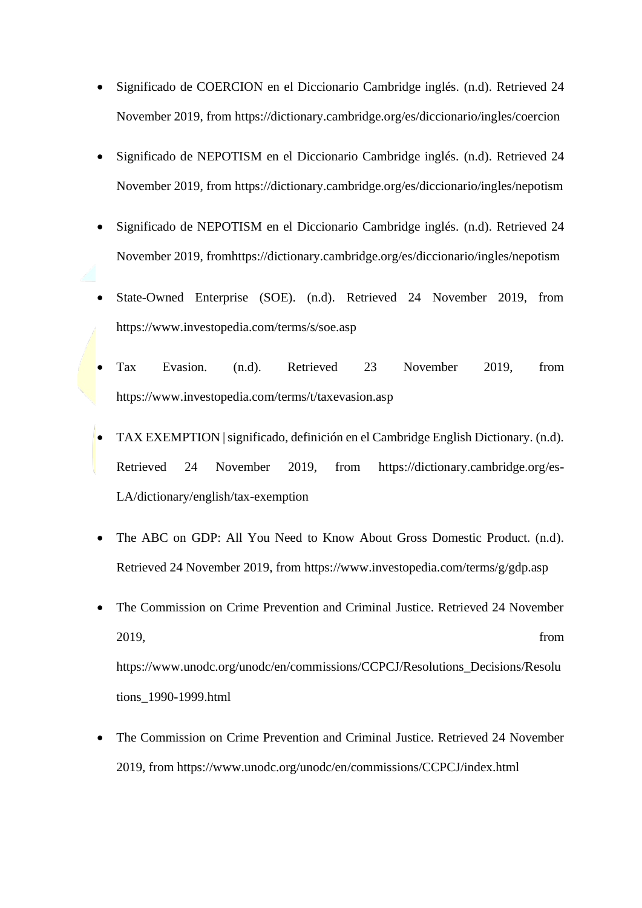- Significado de COERCION en el Diccionario Cambridge inglés. (n.d). Retrieved 24 November 2019, from<https://dictionary.cambridge.org/es/diccionario/ingles/coercion>
- Significado de NEPOTISM en el Diccionario Cambridge inglés. (n.d). Retrieved 24 November 2019, from<https://dictionary.cambridge.org/es/diccionario/ingles/nepotism>
- Significado de NEPOTISM en el Diccionario Cambridge inglés. (n.d). Retrieved 24 November 2019, fro[mhttps://dictionary.cambridge.org/es/diccionario/ingles/nepotism](https://dictionary.cambridge.org/es/diccionario/ingles/nepotism)
- State-Owned Enterprise (SOE). (n.d). Retrieved 24 November 2019, from <https://www.investopedia.com/terms/s/soe.asp>
- Tax Evasion. (n.d). Retrieved 23 November 2019, from <https://www.investopedia.com/terms/t/taxevasion.asp>
- TAX EXEMPTION | significado, definición en el Cambridge English Dictionary. (n.d). Retrieved 24 November 2019, from [https://dictionary.cambridge.org/es-](https://dictionary.cambridge.org/es-LA/dictionary/english/tax-exemption)[LA/dictionary/english/tax-exemption](https://dictionary.cambridge.org/es-LA/dictionary/english/tax-exemption)
- The ABC on GDP: All You Need to Know About Gross Domestic Product. (n.d). Retrieved 24 November 2019, from<https://www.investopedia.com/terms/g/gdp.asp>
- The Commission on Crime Prevention and Criminal Justice. Retrieved 24 November 2019, from [https://www.unodc.org/unodc/en/commissions/CCPCJ/Resolutions\\_Decisions/Resolu](https://www.unodc.org/unodc/en/commissions/CCPCJ/Resolutions_Decisions/Resolutions_1990-1999.html) [tions\\_1990-1999.html](https://www.unodc.org/unodc/en/commissions/CCPCJ/Resolutions_Decisions/Resolutions_1990-1999.html)
- The Commission on Crime Prevention and Criminal Justice. Retrieved 24 November 2019, from<https://www.unodc.org/unodc/en/commissions/CCPCJ/index.html>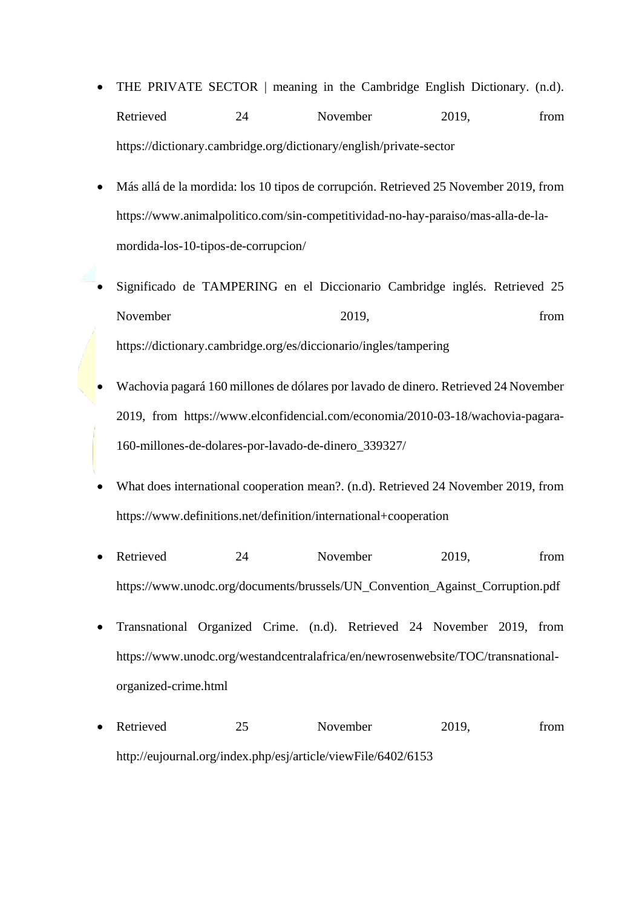- THE PRIVATE SECTOR | meaning in the Cambridge English Dictionary. (n.d). Retrieved 24 November 2019, from <https://dictionary.cambridge.org/dictionary/english/private-sector>
- Más allá de la mordida: los 10 tipos de corrupción. Retrieved 25 November 2019, from [https://www.animalpolitico.com/sin-competitividad-no-hay-paraiso/mas-alla-de-la](https://www.animalpolitico.com/sin-competitividad-no-hay-paraiso/mas-alla-de-la-mordida-los-10-tipos-de-corrupcion/)[mordida-los-10-tipos-de-corrupcion/](https://www.animalpolitico.com/sin-competitividad-no-hay-paraiso/mas-alla-de-la-mordida-los-10-tipos-de-corrupcion/)
- Significado de TAMPERING en el Diccionario Cambridge inglés. Retrieved 25 November 2019, from <https://dictionary.cambridge.org/es/diccionario/ingles/tampering>
- Wachovia pagará 160 millones de dólares por lavado de dinero. Retrieved 24 November 2019, from [https://www.elconfidencial.com/economia/2010-03-18/wachovia-pagara-](https://www.elconfidencial.com/economia/2010-03-18/wachovia-pagara-160-millones-de-dolares-por-lavado-de-dinero_339327/)[160-millones-de-dolares-por-lavado-de-dinero\\_339327/](https://www.elconfidencial.com/economia/2010-03-18/wachovia-pagara-160-millones-de-dolares-por-lavado-de-dinero_339327/)
- What does international cooperation mean?. (n.d). Retrieved 24 November 2019, from <https://www.definitions.net/definition/international+cooperation>
- Retrieved 24 November 2019, from [https://www.unodc.org/documents/brussels/UN\\_Convention\\_Against\\_Corruption.pdf](https://www.unodc.org/documents/brussels/UN_Convention_Against_Corruption.pdf)
- Transnational Organized Crime. (n.d). Retrieved 24 November 2019, from [https://www.unodc.org/westandcentralafrica/en/newrosenwebsite/TOC/transnational](https://www.unodc.org/westandcentralafrica/en/newrosenwebsite/TOC/transnational-organized-crime.html)[organized-crime.html](https://www.unodc.org/westandcentralafrica/en/newrosenwebsite/TOC/transnational-organized-crime.html)
- Retrieved 25 November 2019, from <http://eujournal.org/index.php/esj/article/viewFile/6402/6153>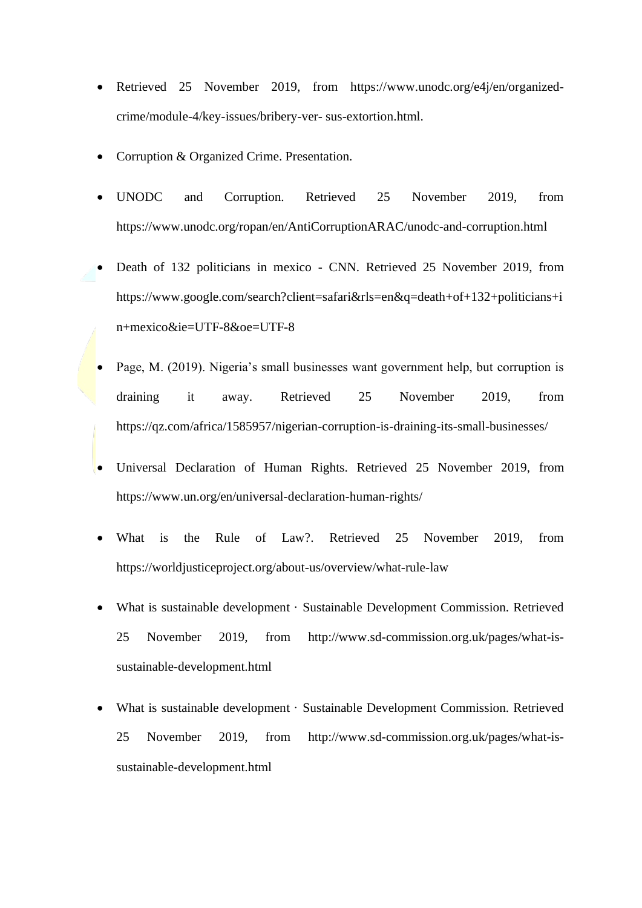- Retrieved 25 November 2019, from [https://www.unodc.org/e4j/en/organized](https://www.unodc.org/e4j/en/organized-crime/module-4/key-issues/bribery-ver-%20sus-extortion.html)[crime/module-4/key-issues/bribery-ver-](https://www.unodc.org/e4j/en/organized-crime/module-4/key-issues/bribery-ver-%20sus-extortion.html) sus-extortion.html.
- Corruption & Organized Crime. Presentation.
- UNODC and Corruption. Retrieved 25 November 2019, from <https://www.unodc.org/ropan/en/AntiCorruptionARAC/unodc-and-corruption.html>
- Death of 132 politicians in mexico CNN. Retrieved 25 November 2019, from [https://www.google.com/search?client=safari&rls=en&q=death+of+132+politicians+i](https://www.google.com/search?client=safari&rls=en&q=death+of+132+politicians+in+mexico&ie=UTF-8&oe=UTF-8) [n+mexico&ie=UTF-8&oe=UTF-8](https://www.google.com/search?client=safari&rls=en&q=death+of+132+politicians+in+mexico&ie=UTF-8&oe=UTF-8)
- Page, M. (2019). Nigeria's small businesses want government help, but corruption is draining it away. Retrieved 25 November 2019, from <https://qz.com/africa/1585957/nigerian-corruption-is-draining-its-small-businesses/>
- Universal Declaration of Human Rights. Retrieved 25 November 2019, from <https://www.un.org/en/universal-declaration-human-rights/>
- What is the Rule of Law?. Retrieved 25 November 2019, from <https://worldjusticeproject.org/about-us/overview/what-rule-law>
- What is sustainable development · Sustainable Development Commission. Retrieved 25 November 2019, from [http://www.sd-commission.org.uk/pages/what-is](http://www.sd-commission.org.uk/pages/what-is-sustainable-development.html)[sustainable-development.html](http://www.sd-commission.org.uk/pages/what-is-sustainable-development.html)
- What is sustainable development · Sustainable Development Commission. Retrieved 25 November 2019, from [http://www.sd-commission.org.uk/pages/what-is](http://www.sd-commission.org.uk/pages/what-is-sustainable-development.html)[sustainable-development.html](http://www.sd-commission.org.uk/pages/what-is-sustainable-development.html)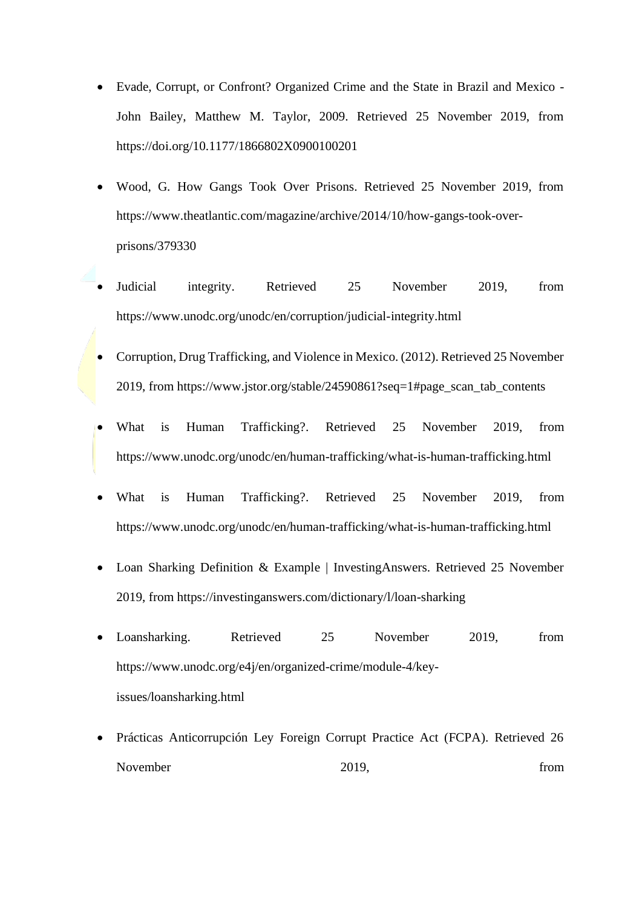- Evade, Corrupt, or Confront? Organized Crime and the State in Brazil and Mexico John Bailey, Matthew M. Taylor, 2009. Retrieved 25 November 2019, from <https://doi.org/10.1177/1866802X0900100201>
- Wood, G. How Gangs Took Over Prisons. Retrieved 25 November 2019, from [https://www.theatlantic.com/magazine/archive/2014/10/how-gangs-took-over](https://www.theatlantic.com/magazine/archive/2014/10/how-gangs-took-over-prisons/379330)[prisons/379330](https://www.theatlantic.com/magazine/archive/2014/10/how-gangs-took-over-prisons/379330)
- Judicial integrity. Retrieved 25 November 2019, from <https://www.unodc.org/unodc/en/corruption/judicial-integrity.html>
- Corruption, Drug Trafficking, and Violence in Mexico. (2012). Retrieved 25 November 2019, from [https://www.jstor.org/stable/24590861?seq=1#page\\_scan\\_tab\\_contents](https://www.jstor.org/stable/24590861?seq=1#page_scan_tab_contents)
- What is Human Trafficking?. Retrieved 25 November 2019, from <https://www.unodc.org/unodc/en/human-trafficking/what-is-human-trafficking.html>
- What is Human Trafficking?. Retrieved 25 November 2019, from <https://www.unodc.org/unodc/en/human-trafficking/what-is-human-trafficking.html>
- Loan Sharking Definition & Example | InvestingAnswers. Retrieved 25 November 2019, from<https://investinganswers.com/dictionary/l/loan-sharking>
- Loansharking. Retrieved 25 November 2019, from [https://www.unodc.org/e4j/en/organized-crime/module-4/key](https://www.unodc.org/e4j/en/organized-crime/module-4/key-issues/loansharking.html)[issues/loansharking.html](https://www.unodc.org/e4j/en/organized-crime/module-4/key-issues/loansharking.html)
- Prácticas Anticorrupción Ley Foreign Corrupt Practice Act (FCPA). Retrieved 26 November 2019, from  $2019$ , from  $2019$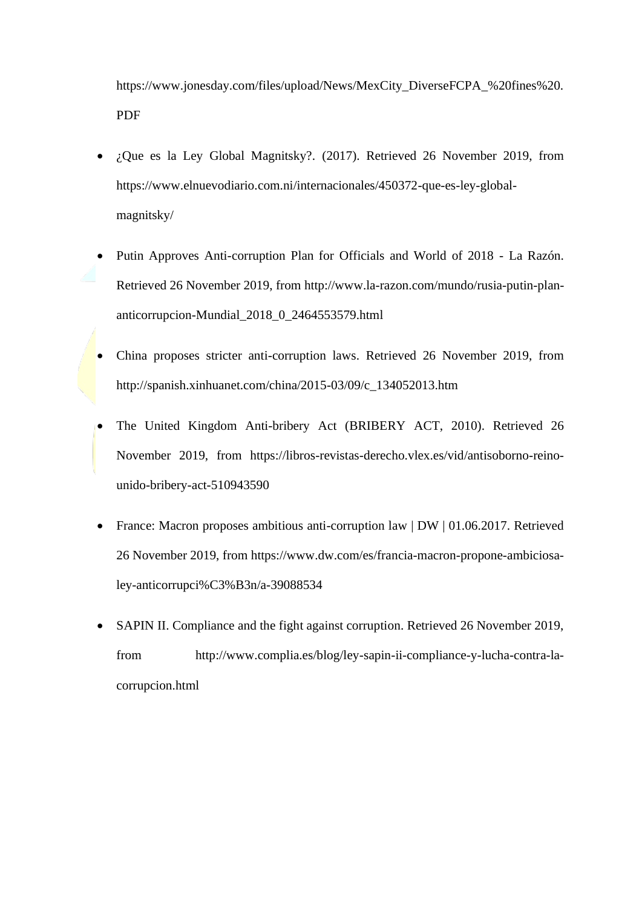[https://www.jonesday.com/files/upload/News/MexCity\\_DiverseFCPA\\_%20fines%20.](https://www.jonesday.com/files/upload/News/MexCity_DiverseFCPA_%20fines%20.PDF) [PDF](https://www.jonesday.com/files/upload/News/MexCity_DiverseFCPA_%20fines%20.PDF)

- ¿Que es la Ley Global Magnitsky?. (2017). Retrieved 26 November 2019, from [https://www.elnuevodiario.com.ni/internacionales/450372-que-es-ley-global](https://www.elnuevodiario.com.ni/internacionales/450372-que-es-ley-global-magnitsky/)[magnitsky/](https://www.elnuevodiario.com.ni/internacionales/450372-que-es-ley-global-magnitsky/)
- Putin Approves Anti-corruption Plan for Officials and World of 2018 La Razón. Retrieved 26 November 2019, from [http://www.la-razon.com/mundo/rusia-putin-plan](http://www.la-razon.com/mundo/rusia-putin-plan-anticorrupcion-Mundial_2018_0_2464553579.html)[anticorrupcion-Mundial\\_2018\\_0\\_2464553579.html](http://www.la-razon.com/mundo/rusia-putin-plan-anticorrupcion-Mundial_2018_0_2464553579.html)
- China proposes stricter anti-corruption laws. Retrieved 26 November 2019, from [http://spanish.xinhuanet.com/china/2015-03/09/c\\_134052013.htm](http://spanish.xinhuanet.com/china/2015-03/09/c_134052013.htm)
- The United Kingdom Anti-bribery Act (BRIBERY ACT, 2010). Retrieved 26 November 2019, from [https://libros-revistas-derecho.vlex.es/vid/antisoborno-reino](https://libros-revistas-derecho.vlex.es/vid/antisoborno-reino-unido-bribery-act-510943590)[unido-bribery-act-510943590](https://libros-revistas-derecho.vlex.es/vid/antisoborno-reino-unido-bribery-act-510943590)
- France: Macron proposes ambitious anti-corruption law | DW | 01.06.2017. Retrieved 26 November 2019, from [https://www.dw.com/es/francia-macron-propone-ambiciosa](https://www.dw.com/es/francia-macron-propone-ambiciosa-ley-anticorrupción/a-39088534)[ley-anticorrupci%C3%B3n/a-39088534](https://www.dw.com/es/francia-macron-propone-ambiciosa-ley-anticorrupción/a-39088534)
- SAPIN II. Compliance and the fight against corruption. Retrieved 26 November 2019, from [http://www.complia.es/blog/ley-sapin-ii-compliance-y-lucha-contra-la](http://www.complia.es/blog/ley-sapin-ii-compliance-y-lucha-contra-la-corrupcion.html)[corrupcion.html](http://www.complia.es/blog/ley-sapin-ii-compliance-y-lucha-contra-la-corrupcion.html)